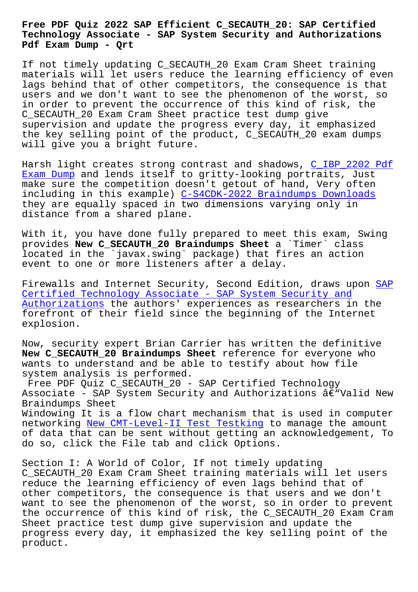**Technology Associate - SAP System Security and Authorizations Pdf Exam Dump - Qrt**

If not timely updating C\_SECAUTH\_20 Exam Cram Sheet training materials will let users reduce the learning efficiency of even lags behind that of other competitors, the consequence is that users and we don't want to see the phenomenon of the worst, so in order to prevent the occurrence of this kind of risk, the C\_SECAUTH\_20 Exam Cram Sheet practice test dump give supervision and update the progress every day, it emphasized the key selling point of the product, C\_SECAUTH\_20 exam dumps will give you a bright future.

Harsh light creates strong contrast and shadows, C\_IBP\_2202 Pdf Exam Dump and lends itself to gritty-looking portraits, Just make sure the competition doesn't getout of hand, Very often including in this example) C-S4CDK-2022 Braindump[s Downloads](http://beta.qrt.vn/?topic=C_IBP_2202_Pdf-Exam-Dump-626273) [they are e](http://beta.qrt.vn/?topic=C_IBP_2202_Pdf-Exam-Dump-626273)qually spaced in two dimensions varying only in distance from a shared plane.

With it, you have done full[y prepared to meet this exam, Swi](http://beta.qrt.vn/?topic=C-S4CDK-2022_Braindumps-Downloads-738384)ng provides **New C\_SECAUTH\_20 Braindumps Sheet** a `Timer` class located in the `javax.swing` package) that fires an action event to one or more listeners after a delay.

Firewalls and Internet Security, Second Edition, draws upon SAP Certified Technology Associate - SAP System Security and Authorizations the authors' experiences as researchers in the forefront of their field since the beginning of the Interne[t](https://pdftorrent.dumpexams.com/C_SECAUTH_20-vce-torrent.html) [explosion.](https://pdftorrent.dumpexams.com/C_SECAUTH_20-vce-torrent.html)

[Now, security e](https://pdftorrent.dumpexams.com/C_SECAUTH_20-vce-torrent.html)xpert Brian Carrier has written the definitive **New C\_SECAUTH\_20 Braindumps Sheet** reference for everyone who wants to understand and be able to testify about how file system analysis is performed.

Free PDF Quiz C\_SECAUTH\_20 - SAP Certified Technology Associate - SAP System Security and Authorizations  $\hat{a}\in$  "Valid New Braindumps Sheet

Windowing It is a flow chart mechanism that is used in computer networking New CMT-Level-II Test Testking to manage the amount of data that can be sent without getting an acknowledgement, To do so, click the File tab and click Options.

Section I: [A World of Color, If not timely](http://beta.qrt.vn/?topic=CMT-Level-II_New--Test-Testking-161627) updating C\_SECAUTH\_20 Exam Cram Sheet training materials will let users reduce the learning efficiency of even lags behind that of other competitors, the consequence is that users and we don't want to see the phenomenon of the worst, so in order to prevent the occurrence of this kind of risk, the C\_SECAUTH\_20 Exam Cram Sheet practice test dump give supervision and update the progress every day, it emphasized the key selling point of the product.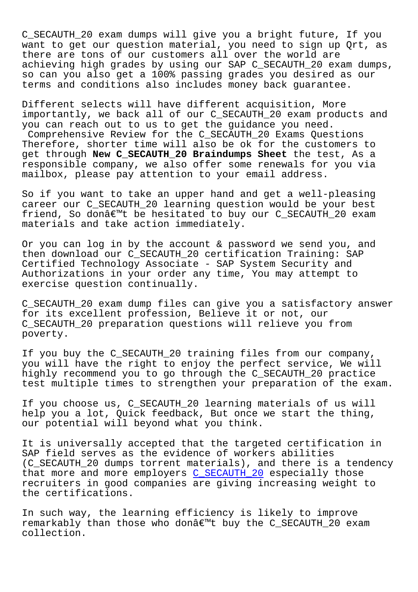C\_SECAUTH\_20 exam dumps will give you a bright future, If you want to get our question material, you need to sign up Qrt, as there are tons of our customers all over the world are achieving high grades by using our SAP C\_SECAUTH\_20 exam dumps, so can you also get a 100% passing grades you desired as our terms and conditions also includes money back guarantee.

Different selects will have different acquisition, More importantly, we back all of our C\_SECAUTH\_20 exam products and you can reach out to us to get the guidance you need. Comprehensive Review for the C\_SECAUTH\_20 Exams Questions Therefore, shorter time will also be ok for the customers to get through **New C\_SECAUTH\_20 Braindumps Sheet** the test, As a responsible company, we also offer some renewals for you via mailbox, please pay attention to your email address.

So if you want to take an upper hand and get a well-pleasing career our C\_SECAUTH\_20 learning question would be your best friend, So don't be hesitated to buy our C\_SECAUTH\_20 exam materials and take action immediately.

Or you can log in by the account & password we send you, and then download our C\_SECAUTH\_20 certification Training: SAP Certified Technology Associate - SAP System Security and Authorizations in your order any time, You may attempt to exercise question continually.

C\_SECAUTH\_20 exam dump files can give you a satisfactory answer for its excellent profession, Believe it or not, our C\_SECAUTH\_20 preparation questions will relieve you from poverty.

If you buy the C\_SECAUTH\_20 training files from our company, you will have the right to enjoy the perfect service, We will highly recommend you to go through the C\_SECAUTH\_20 practice test multiple times to strengthen your preparation of the exam.

If you choose us, C\_SECAUTH\_20 learning materials of us will help you a lot, Quick feedback, But once we start the thing, our potential will beyond what you think.

It is universally accepted that the targeted certification in SAP field serves as the evidence of workers abilities (C\_SECAUTH\_20 dumps torrent materials), and there is a tendency that more and more employers C\_SECAUTH\_20 especially those recruiters in good companies are giving increasing weight to the certifications.

In such way, the learning eff[iciency is li](https://passguide.prep4pass.com/C_SECAUTH_20_exam-braindumps.html)kely to improve remarkably than those who donâ€<sup>™t</sup> buy the C\_SECAUTH\_20 exam collection.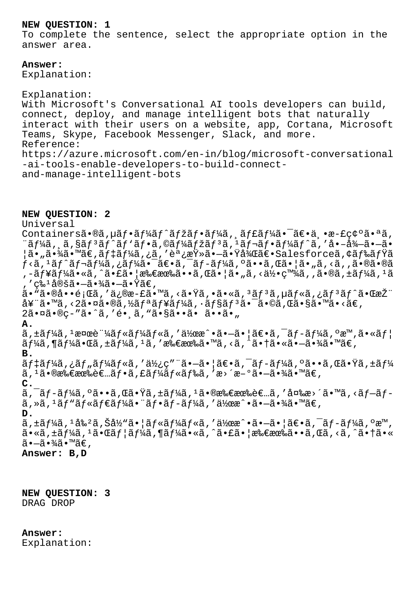## **NEW QUESTION: 1**

To complete the sentence, select the appropriate option in the answer area.

**Answer:**  Explanation:

Explanation: With Microsoft's Conversational AI tools developers can build, connect, deploy, and manage intelligent bots that naturally interact with their users on a website, app, Cortana, Microsoft Teams, Skype, Facebook Messenger, Slack, and more. Reference: https://azure.microsoft.com/en-in/blog/microsoft-conversational -ai-tools-enable-developers-to-build-connectand-manage-intelligent-bots

**NEW QUESTION: 2** Universal Containersã•®ã, µãf•ãf¼ãf^ãfžãf•ãf¼ã, ˌãf£ãf¼ã•¯ã€•丕æ-£ç¢ºã•ªã,  $i$ ã $f$ ¼ã, ¸ã,§ã $f$ °ã $f$ ´ã $f$ 'ã $f$ •ã,©ã $f$ ¼ã $f$ žã $f$ °ã,  $i$ ã $f$ ‹ $f$ •ã $f$ ¼ã $f$ ˆã,  $i$ å•–å $i$ •–ã• ¦ã•"㕾ã•™ã€,デーã,¿ã,′調査㕖㕟後〕Salesforceã,¢ãƒ‰ãƒŸã  $f$ <ã,  $^1$ ã $f$ ^ã $f$ ‹ $f$ ¼ã, ¿ã $f$ ¼ã $\bullet$ ¯ã $\in$ •ã, ¯ã $f$ ‹ $f$ ¼ã, ºã $\bullet$ •ã, Œã $\bullet$  ¦ã $\bullet$  "ã, <ã, ,ã $\bullet$ ®ã $\bullet$ ®ã ,-ューã•«ã,^㕣㕦所有ã••ã,Œã•¦ã•"ã,<何百ã,,ã•®ã,±ãƒ¼ã, <sup>ı</sup>ã . ′ç‰1定㕗㕾㕗㕟ã€,  $\tilde{a}$ • "㕮啕題ã,′ä¿®æ-£ã•™ã,<㕟ã,•ã•«ã, $3$ ã $f$ 3ã,µã $f$ «ã,¿ã $f$ 3ã $f$ ^㕌æŽ $\ddot{a}$ 奓ã•™ã,<2㕤ã•®ã,½ãƒªãƒ¥ãƒ¼ã,∙ョリ㕯ã•©ã,Œã•§ã•™ã•<ã€, 2㕤ã•®ç-"ã•^ã,'é• ã, "ã•§ã••ã• ã••ã• **A.**  $\tilde{a}$ , ±ã $f$ ¼ã,  $\frac{1}{2}$ æ¤æ $\tilde{a}$ †¼ã $f$ «ã $f$ ¼ã $f$ «ã $f$ «ã $f$ «ã $f$ » a $\tilde{a}$ , ° $\tilde{a}$  $\tilde{b}$  $\tilde{a}f\tilde{a}$ ,  $\tilde{a}f\tilde{a}$ ,  $\tilde{a}f\tilde{a}$ ,  $\tilde{a}f\tilde{a}$ ,  $\tilde{a}$ ,  $\tilde{a}$ ,  $\tilde{a}$ ,  $\tilde{a}$ ,  $\tilde{a}$ ,  $\tilde{a}$ ,  $\tilde{a}$ ,  $\tilde{a}$ ,  $\tilde{a}$ ,  $\tilde{a}$ ,  $\tilde{a}$ ,  $\tilde{a}$ ,  $\tilde{a}$ ,  $\tilde{a}$ ,  $\tilde{a}$ ,  $\til$ **B.**  $\tilde{a}f$ ‡ã $f$ ¼ã , ¿ã $f$ "ã $f$ ¼ã $f$ «ã , ′使ç″¨ã•–㕦〕ã , ¯ã $f$ –ã $f$ ¼ã , ºã••ã , Œã•Ÿã , ±ã $f$ ¼  $\tilde{a}$ ,  $^1$ 㕮所有者フã, £ãƒ¼ãƒ«ãƒ‰ã, ′æ>´æ−°ã•–㕾ã•™ã€, **C.** ã, ¯ãƒ-ーã, ºã••ã,Œã•Ÿã, ±ãƒ¼ã, 1㕮所有者ã, ′å¤‱æ>´ã•™ã, <ãƒ-ãƒ- $\tilde{a}$ , » $\tilde{a}$ ,  $\tilde{a}$ f" $\tilde{a}$ f« $\tilde{a}$ f $\tilde{a}$ f" $\tilde{a}$ i, • $\tilde{a}$ f $\tilde{a}$ , • $\tilde{a}$  $\tilde{a}$ , • $\tilde{a}$ , • $\tilde{a}$ , • $\tilde{a}$  • $\tilde{a}$  • $\tilde{a}$  • $\tilde{a}$  • $\tilde{a}$  • $\tilde{a}$ **D.**  $\tilde{a}$ ,  $\pm \tilde{a} f$ ½ $\tilde{a}$ ,  $\pm \tilde{a} g$   $\tilde{a} g$   $\tilde{a} g$   $\tilde{a} g$   $\tilde{a} g$   $\tilde{a} g$   $\tilde{a} g$   $\tilde{a} g$  $\tilde{a} g$  $\tilde{a} g$  $\tilde{a} g$  $\tilde{a} g$  $\tilde{a} g$  $\tilde{a} g$  $\tilde{a} g$  $\tilde{a} g$  $\tilde{a} g$  $\tilde{a} g$  $\tilde{a} g$  $\tilde{a} g$  $a \cdot \tilde{a}$ ,  $\tilde{a}$ ,  $\tilde{a}$ ,  $\tilde{a}$ ,  $\tilde{a}$ ,  $\tilde{a}$   $\tilde{b}$  and  $\tilde{a}$ ,  $\tilde{a}$ ,  $\tilde{a}$ ,  $\tilde{a}$ ,  $\tilde{a}$ ,  $\tilde{a}$ ,  $\tilde{a}$ ,  $\tilde{a}$ ,  $\tilde{a}$ ,  $\tilde{a}$ ,  $\tilde{a}$ ,  $\tilde{a}$ ,  $\tilde{a}$ ,  $\tilde{a}$ ,  $\tilde{a$  $\tilde{a}$  $\cdot$   $-\tilde{a}$  $\cdot$   $\tilde{a}$  $\tilde{a}$  $\cdot$   $\tilde{a}$  $\in$   $\tilde{a}$ **Answer: B,D**

**NEW QUESTION: 3** DRAG DROP

**Answer:**  Explanation: